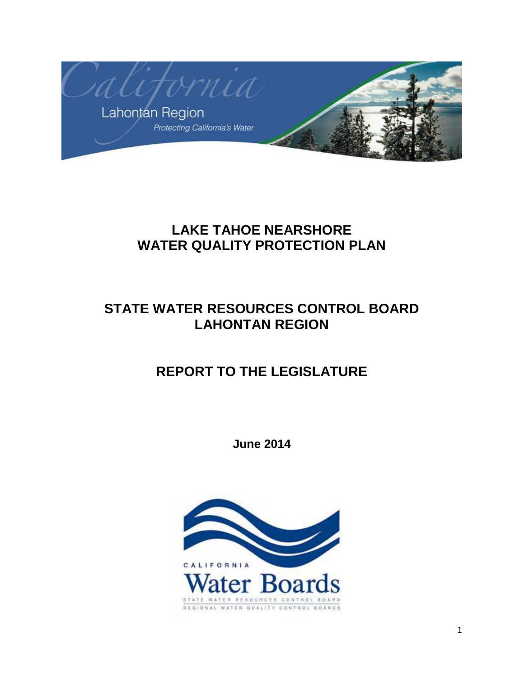

# **LAKE TAHOE NEARSHORE WATER QUALITY PROTECTION PLAN**

# **STATE WATER RESOURCES CONTROL BOARD LAHONTAN REGION**

# **REPORT TO THE LEGISLATURE**

**June 2014**

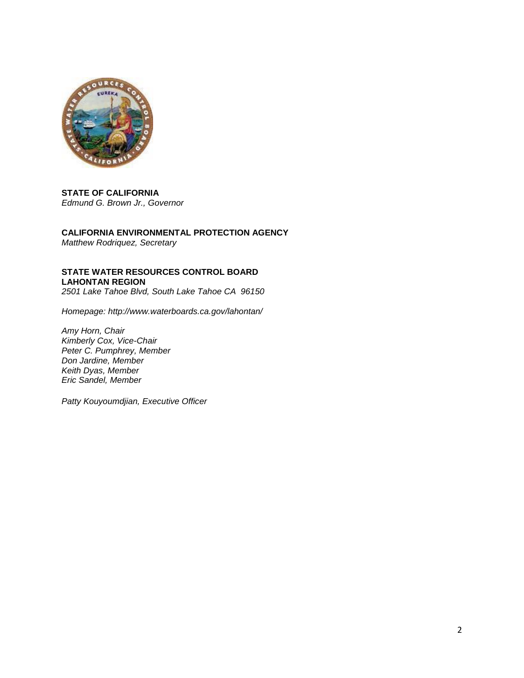

**STATE OF CALIFORNIA**  *Edmund G. Brown Jr., Governor* 

**CALIFORNIA ENVIRONMENTAL PROTECTION AGENCY**  *Matthew Rodriquez, Secretary* 

**STATE WATER RESOURCES CONTROL BOARD LAHONTAN REGION** *2501 Lake Tahoe Blvd, South Lake Tahoe CA 96150*

*Homepage: http://www.waterboards.ca.gov/lahontan/*

*Amy Horn, Chair Kimberly Cox, Vice-Chair Peter C. Pumphrey, Member Don Jardine, Member Keith Dyas, Member Eric Sandel, Member* 

*Patty Kouyoumdjian, Executive Officer*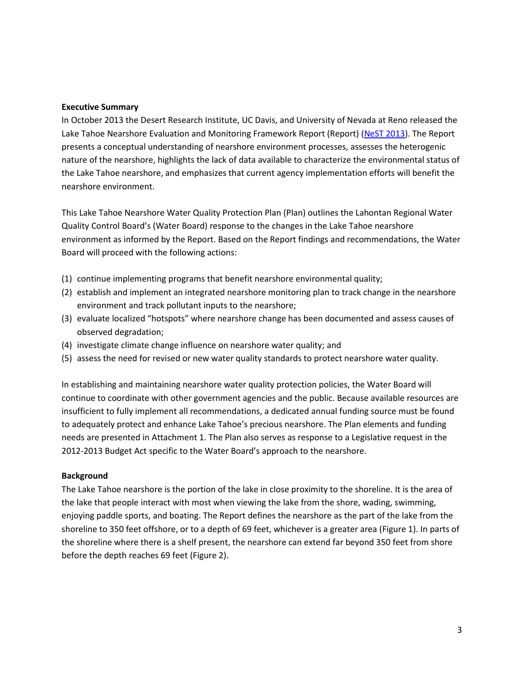### **Executive Summary**

In October 2013 the Desert Research Institute, UC Davis, and University of Nevada at Reno released the Lake Tahoe Nearshore Evaluation and Monitoring Framework Report (Report) [\(NeST 2013\)](http://www.dri.edu/images/stories/centers/cwes/Lake_Tahoe_Nearshore_Evaluation_and_Monitoring_Framework.pdf). The Report presents a conceptual understanding of nearshore environment processes, assesses the heterogenic nature of the nearshore, highlights the lack of data available to characterize the environmental status of the Lake Tahoe nearshore, and emphasizes that current agency implementation efforts will benefit the nearshore environment.

This Lake Tahoe Nearshore Water Quality Protection Plan (Plan) outlines the Lahontan Regional Water Quality Control Board's (Water Board) response to the changes in the Lake Tahoe nearshore environment as informed by the Report. Based on the Report findings and recommendations, the Water Board will proceed with the following actions:

- (1) continue implementing programs that benefit nearshore environmental quality;
- (2) establish and implement an integrated nearshore monitoring plan to track change in the nearshore environment and track pollutant inputs to the nearshore;
- (3) evaluate localized "hotspots" where nearshore change has been documented and assess causes of observed degradation;
- (4) investigate climate change influence on nearshore water quality; and
- (5) assess the need for revised or new water quality standards to protect nearshore water quality.

In establishing and maintaining nearshore water quality protection policies, the Water Board will continue to coordinate with other government agencies and the public. Because available resources are insufficient to fully implement all recommendations, a dedicated annual funding source must be found to adequately protect and enhance Lake Tahoe's precious nearshore. The Plan elements and funding needs are presented in Attachment 1. The Plan also serves as response to a Legislative request in the 2012-2013 Budget Act specific to the Water Board's approach to the nearshore.

### **Background**

The Lake Tahoe nearshore is the portion of the lake in close proximity to the shoreline. It is the area of the lake that people interact with most when viewing the lake from the shore, wading, swimming, enjoying paddle sports, and boating. The Report defines the nearshore as the part of the lake from the shoreline to 350 feet offshore, or to a depth of 69 feet, whichever is a greater area (Figure 1). In parts of the shoreline where there is a shelf present, the nearshore can extend far beyond 350 feet from shore before the depth reaches 69 feet (Figure 2).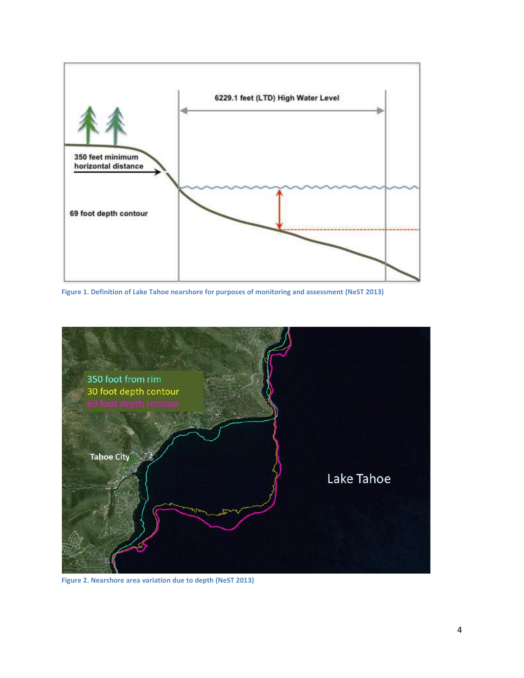

**Figure 1. Definition of Lake Tahoe nearshore for purposes of monitoring and assessment (NeST 2013)**



**Figure 2. Nearshore area variation due to depth (NeST 2013)**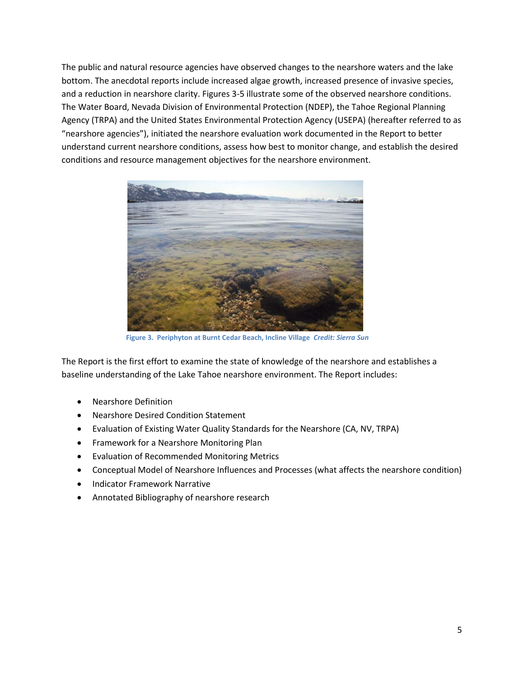The public and natural resource agencies have observed changes to the nearshore waters and the lake bottom. The anecdotal reports include increased algae growth, increased presence of invasive species, and a reduction in nearshore clarity. Figures 3-5 illustrate some of the observed nearshore conditions. The Water Board, Nevada Division of Environmental Protection (NDEP), the Tahoe Regional Planning Agency (TRPA) and the United States Environmental Protection Agency (USEPA) (hereafter referred to as "nearshore agencies"), initiated the nearshore evaluation work documented in the Report to better understand current nearshore conditions, assess how best to monitor change, and establish the desired conditions and resource management objectives for the nearshore environment.



 **Figure 3. Periphyton at Burnt Cedar Beach, Incline Village** *Credit: Sierra Sun*

The Report is the first effort to examine the state of knowledge of the nearshore and establishes a baseline understanding of the Lake Tahoe nearshore environment. The Report includes:

- Nearshore Definition
- Nearshore Desired Condition Statement
- Evaluation of Existing Water Quality Standards for the Nearshore (CA, NV, TRPA)
- Framework for a Nearshore Monitoring Plan
- Evaluation of Recommended Monitoring Metrics
- Conceptual Model of Nearshore Influences and Processes (what affects the nearshore condition)
- Indicator Framework Narrative
- Annotated Bibliography of nearshore research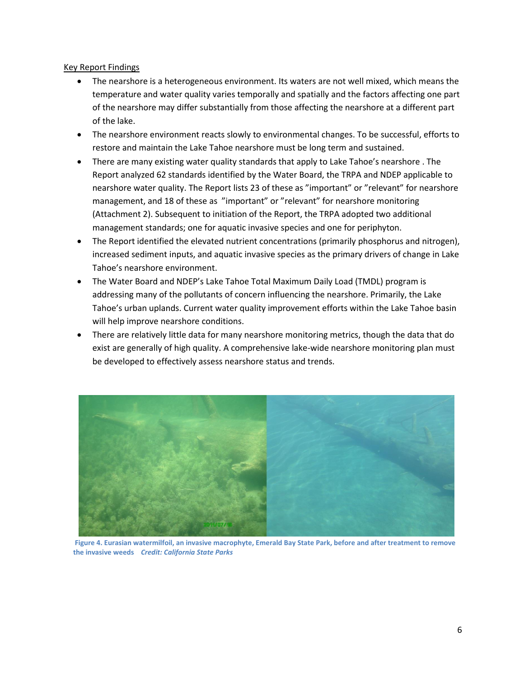## Key Report Findings

- The nearshore is a heterogeneous environment. Its waters are not well mixed, which means the temperature and water quality varies temporally and spatially and the factors affecting one part of the nearshore may differ substantially from those affecting the nearshore at a different part of the lake.
- The nearshore environment reacts slowly to environmental changes. To be successful, efforts to restore and maintain the Lake Tahoe nearshore must be long term and sustained.
- There are many existing water quality standards that apply to Lake Tahoe's nearshore . The Report analyzed 62 standards identified by the Water Board, the TRPA and NDEP applicable to nearshore water quality. The Report lists 23 of these as "important" or "relevant" for nearshore management, and 18 of these as "important" or "relevant" for nearshore monitoring (Attachment 2). Subsequent to initiation of the Report, the TRPA adopted two additional management standards; one for aquatic invasive species and one for periphyton.
- The Report identified the elevated nutrient concentrations (primarily phosphorus and nitrogen), increased sediment inputs, and aquatic invasive species as the primary drivers of change in Lake Tahoe's nearshore environment.
- The Water Board and NDEP's Lake Tahoe Total Maximum Daily Load (TMDL) program is addressing many of the pollutants of concern influencing the nearshore. Primarily, the Lake Tahoe's urban uplands. Current water quality improvement efforts within the Lake Tahoe basin will help improve nearshore conditions.
- There are relatively little data for many nearshore monitoring metrics, though the data that do exist are generally of high quality. A comprehensive lake-wide nearshore monitoring plan must be developed to effectively assess nearshore status and trends.



**Figure 4. Eurasian watermilfoil, an invasive macrophyte, Emerald Bay State Park, before and after treatment to remove the invasive weeds** *Credit: California State Parks*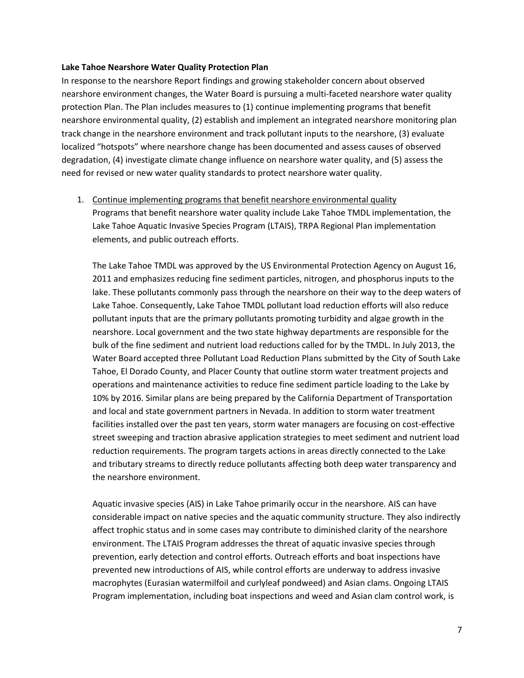### **Lake Tahoe Nearshore Water Quality Protection Plan**

In response to the nearshore Report findings and growing stakeholder concern about observed nearshore environment changes, the Water Board is pursuing a multi-faceted nearshore water quality protection Plan. The Plan includes measures to (1) continue implementing programs that benefit nearshore environmental quality, (2) establish and implement an integrated nearshore monitoring plan track change in the nearshore environment and track pollutant inputs to the nearshore, (3) evaluate localized "hotspots" where nearshore change has been documented and assess causes of observed degradation, (4) investigate climate change influence on nearshore water quality, and (5) assess the need for revised or new water quality standards to protect nearshore water quality.

1. Continue implementing programs that benefit nearshore environmental quality Programs that benefit nearshore water quality include Lake Tahoe TMDL implementation, the Lake Tahoe Aquatic Invasive Species Program (LTAIS), TRPA Regional Plan implementation elements, and public outreach efforts.

The Lake Tahoe TMDL was approved by the US Environmental Protection Agency on August 16, 2011 and emphasizes reducing fine sediment particles, nitrogen, and phosphorus inputs to the lake. These pollutants commonly pass through the nearshore on their way to the deep waters of Lake Tahoe. Consequently, Lake Tahoe TMDL pollutant load reduction efforts will also reduce pollutant inputs that are the primary pollutants promoting turbidity and algae growth in the nearshore. Local government and the two state highway departments are responsible for the bulk of the fine sediment and nutrient load reductions called for by the TMDL. In July 2013, the Water Board accepted three Pollutant Load Reduction Plans submitted by the City of South Lake Tahoe, El Dorado County, and Placer County that outline storm water treatment projects and operations and maintenance activities to reduce fine sediment particle loading to the Lake by 10% by 2016. Similar plans are being prepared by the California Department of Transportation and local and state government partners in Nevada. In addition to storm water treatment facilities installed over the past ten years, storm water managers are focusing on cost-effective street sweeping and traction abrasive application strategies to meet sediment and nutrient load reduction requirements. The program targets actions in areas directly connected to the Lake and tributary streams to directly reduce pollutants affecting both deep water transparency and the nearshore environment.

Aquatic invasive species (AIS) in Lake Tahoe primarily occur in the nearshore. AIS can have considerable impact on native species and the aquatic community structure. They also indirectly affect trophic status and in some cases may contribute to diminished clarity of the nearshore environment. The LTAIS Program addresses the threat of aquatic invasive species through prevention, early detection and control efforts. Outreach efforts and boat inspections have prevented new introductions of AIS, while control efforts are underway to address invasive macrophytes (Eurasian watermilfoil and curlyleaf pondweed) and Asian clams. Ongoing LTAIS Program implementation, including boat inspections and weed and Asian clam control work, is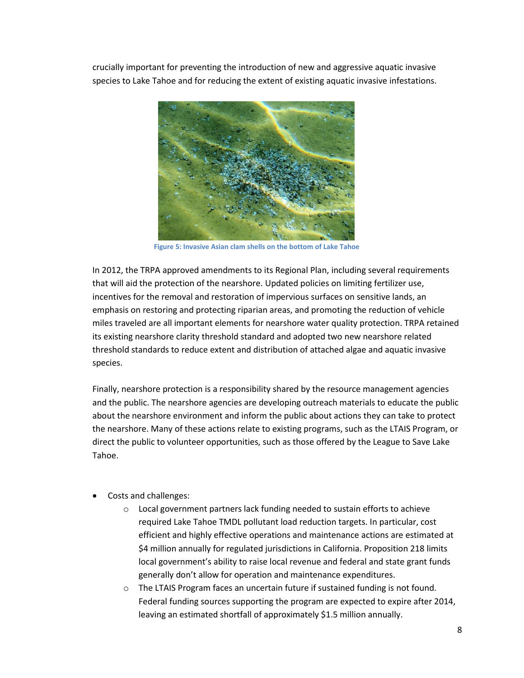crucially important for preventing the introduction of new and aggressive aquatic invasive species to Lake Tahoe and for reducing the extent of existing aquatic invasive infestations.



**Figure 5: Invasive Asian clam shells on the bottom of Lake Tahoe**

In 2012, the TRPA approved amendments to its Regional Plan, including several requirements that will aid the protection of the nearshore. Updated policies on limiting fertilizer use, incentives for the removal and restoration of impervious surfaces on sensitive lands, an emphasis on restoring and protecting riparian areas, and promoting the reduction of vehicle miles traveled are all important elements for nearshore water quality protection. TRPA retained its existing nearshore clarity threshold standard and adopted two new nearshore related threshold standards to reduce extent and distribution of attached algae and aquatic invasive species.

Finally, nearshore protection is a responsibility shared by the resource management agencies and the public. The nearshore agencies are developing outreach materials to educate the public about the nearshore environment and inform the public about actions they can take to protect the nearshore. Many of these actions relate to existing programs, such as the LTAIS Program, or direct the public to volunteer opportunities, such as those offered by the League to Save Lake Tahoe.

- Costs and challenges:
	- o Local government partners lack funding needed to sustain efforts to achieve required Lake Tahoe TMDL pollutant load reduction targets. In particular, cost efficient and highly effective operations and maintenance actions are estimated at \$4 million annually for regulated jurisdictions in California. Proposition 218 limits local government's ability to raise local revenue and federal and state grant funds generally don't allow for operation and maintenance expenditures.
	- o The LTAIS Program faces an uncertain future if sustained funding is not found. Federal funding sources supporting the program are expected to expire after 2014, leaving an estimated shortfall of approximately \$1.5 million annually.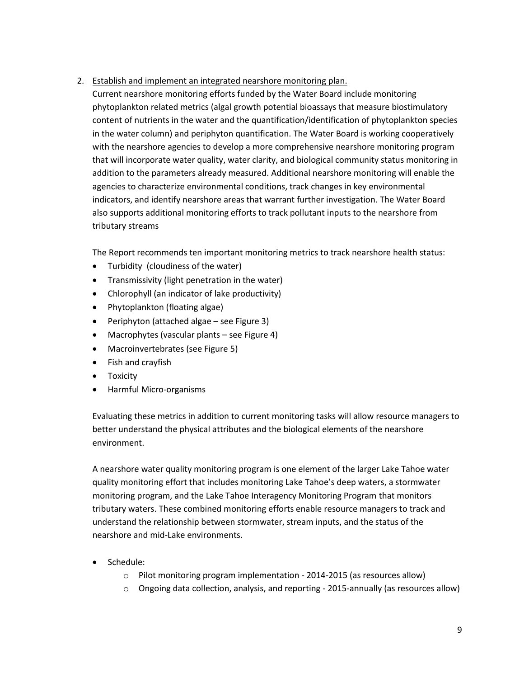## 2. Establish and implement an integrated nearshore monitoring plan.

Current nearshore monitoring efforts funded by the Water Board include monitoring phytoplankton related metrics (algal growth potential bioassays that measure biostimulatory content of nutrients in the water and the quantification/identification of phytoplankton species in the water column) and periphyton quantification. The Water Board is working cooperatively with the nearshore agencies to develop a more comprehensive nearshore monitoring program that will incorporate water quality, water clarity, and biological community status monitoring in addition to the parameters already measured. Additional nearshore monitoring will enable the agencies to characterize environmental conditions, track changes in key environmental indicators, and identify nearshore areas that warrant further investigation. The Water Board also supports additional monitoring efforts to track pollutant inputs to the nearshore from tributary streams

The Report recommends ten important monitoring metrics to track nearshore health status:

- Turbidity (cloudiness of the water)
- Transmissivity (light penetration in the water)
- Chlorophyll (an indicator of lake productivity)
- Phytoplankton (floating algae)
- $\bullet$  Periphyton (attached algae see Figure 3)
- Macrophytes (vascular plants see Figure 4)
- Macroinvertebrates (see Figure 5)
- Fish and crayfish
- **•** Toxicity
- Harmful Micro-organisms

Evaluating these metrics in addition to current monitoring tasks will allow resource managers to better understand the physical attributes and the biological elements of the nearshore environment.

A nearshore water quality monitoring program is one element of the larger Lake Tahoe water quality monitoring effort that includes monitoring Lake Tahoe's deep waters, a stormwater monitoring program, and the Lake Tahoe Interagency Monitoring Program that monitors tributary waters. These combined monitoring efforts enable resource managers to track and understand the relationship between stormwater, stream inputs, and the status of the nearshore and mid-Lake environments.

- Schedule:
	- $\circ$  Pilot monitoring program implementation 2014-2015 (as resources allow)
	- $\circ$  Ongoing data collection, analysis, and reporting 2015-annually (as resources allow)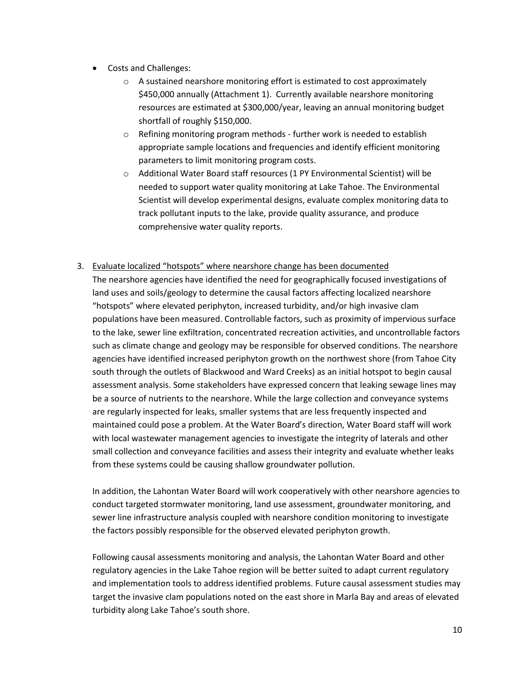- Costs and Challenges:
	- $\circ$  A sustained nearshore monitoring effort is estimated to cost approximately \$450,000 annually (Attachment 1). Currently available nearshore monitoring resources are estimated at \$300,000/year, leaving an annual monitoring budget shortfall of roughly \$150,000.
	- o Refining monitoring program methods further work is needed to establish appropriate sample locations and frequencies and identify efficient monitoring parameters to limit monitoring program costs.
	- o Additional Water Board staff resources (1 PY Environmental Scientist) will be needed to support water quality monitoring at Lake Tahoe. The Environmental Scientist will develop experimental designs, evaluate complex monitoring data to track pollutant inputs to the lake, provide quality assurance, and produce comprehensive water quality reports.

## 3. Evaluate localized "hotspots" where nearshore change has been documented

The nearshore agencies have identified the need for geographically focused investigations of land uses and soils/geology to determine the causal factors affecting localized nearshore "hotspots" where elevated periphyton, increased turbidity, and/or high invasive clam populations have been measured. Controllable factors, such as proximity of impervious surface to the lake, sewer line exfiltration, concentrated recreation activities, and uncontrollable factors such as climate change and geology may be responsible for observed conditions. The nearshore agencies have identified increased periphyton growth on the northwest shore (from Tahoe City south through the outlets of Blackwood and Ward Creeks) as an initial hotspot to begin causal assessment analysis. Some stakeholders have expressed concern that leaking sewage lines may be a source of nutrients to the nearshore. While the large collection and conveyance systems are regularly inspected for leaks, smaller systems that are less frequently inspected and maintained could pose a problem. At the Water Board's direction, Water Board staff will work with local wastewater management agencies to investigate the integrity of laterals and other small collection and conveyance facilities and assess their integrity and evaluate whether leaks from these systems could be causing shallow groundwater pollution.

In addition, the Lahontan Water Board will work cooperatively with other nearshore agencies to conduct targeted stormwater monitoring, land use assessment, groundwater monitoring, and sewer line infrastructure analysis coupled with nearshore condition monitoring to investigate the factors possibly responsible for the observed elevated periphyton growth.

Following causal assessments monitoring and analysis, the Lahontan Water Board and other regulatory agencies in the Lake Tahoe region will be better suited to adapt current regulatory and implementation tools to address identified problems. Future causal assessment studies may target the invasive clam populations noted on the east shore in Marla Bay and areas of elevated turbidity along Lake Tahoe's south shore.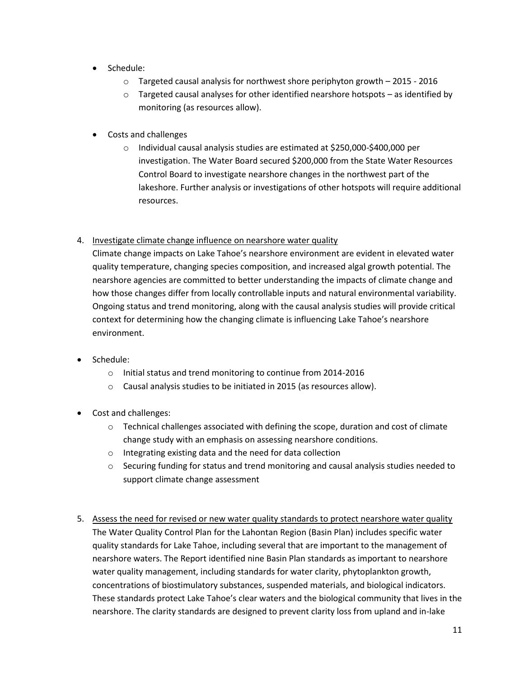- Schedule:
	- $\circ$  Targeted causal analysis for northwest shore periphyton growth 2015 2016
	- $\circ$  Targeted causal analyses for other identified nearshore hotspots as identified by monitoring (as resources allow).
- Costs and challenges
	- o Individual causal analysis studies are estimated at \$250,000-\$400,000 per investigation. The Water Board secured \$200,000 from the State Water Resources Control Board to investigate nearshore changes in the northwest part of the lakeshore. Further analysis or investigations of other hotspots will require additional resources.

# 4. Investigate climate change influence on nearshore water quality

Climate change impacts on Lake Tahoe's nearshore environment are evident in elevated water quality temperature, changing species composition, and increased algal growth potential. The nearshore agencies are committed to better understanding the impacts of climate change and how those changes differ from locally controllable inputs and natural environmental variability. Ongoing status and trend monitoring, along with the causal analysis studies will provide critical context for determining how the changing climate is influencing Lake Tahoe's nearshore environment.

- Schedule:
	- o Initial status and trend monitoring to continue from 2014-2016
	- o Causal analysis studies to be initiated in 2015 (as resources allow).
- Cost and challenges:
	- o Technical challenges associated with defining the scope, duration and cost of climate change study with an emphasis on assessing nearshore conditions.
	- o Integrating existing data and the need for data collection
	- $\circ$  Securing funding for status and trend monitoring and causal analysis studies needed to support climate change assessment
- 5. Assess the need for revised or new water quality standards to protect nearshore water quality The Water Quality Control Plan for the Lahontan Region (Basin Plan) includes specific water quality standards for Lake Tahoe, including several that are important to the management of nearshore waters. The Report identified nine Basin Plan standards as important to nearshore water quality management, including standards for water clarity, phytoplankton growth, concentrations of biostimulatory substances, suspended materials, and biological indicators. These standards protect Lake Tahoe's clear waters and the biological community that lives in the nearshore. The clarity standards are designed to prevent clarity loss from upland and in-lake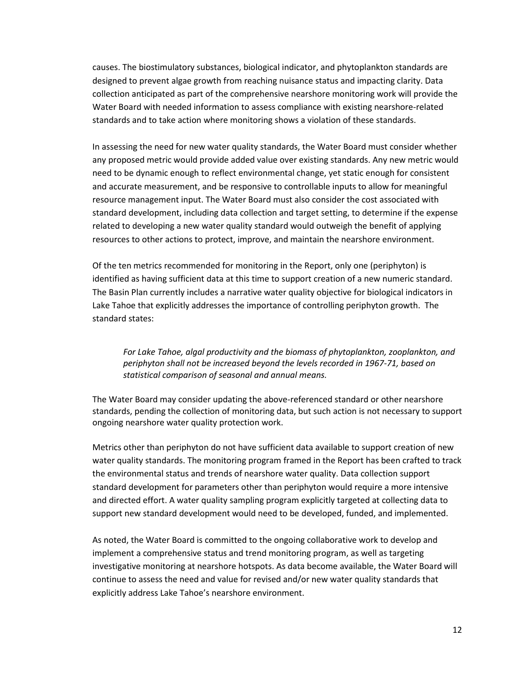causes. The biostimulatory substances, biological indicator, and phytoplankton standards are designed to prevent algae growth from reaching nuisance status and impacting clarity. Data collection anticipated as part of the comprehensive nearshore monitoring work will provide the Water Board with needed information to assess compliance with existing nearshore-related standards and to take action where monitoring shows a violation of these standards.

In assessing the need for new water quality standards, the Water Board must consider whether any proposed metric would provide added value over existing standards. Any new metric would need to be dynamic enough to reflect environmental change, yet static enough for consistent and accurate measurement, and be responsive to controllable inputs to allow for meaningful resource management input. The Water Board must also consider the cost associated with standard development, including data collection and target setting, to determine if the expense related to developing a new water quality standard would outweigh the benefit of applying resources to other actions to protect, improve, and maintain the nearshore environment.

Of the ten metrics recommended for monitoring in the Report, only one (periphyton) is identified as having sufficient data at this time to support creation of a new numeric standard. The Basin Plan currently includes a narrative water quality objective for biological indicators in Lake Tahoe that explicitly addresses the importance of controlling periphyton growth. The standard states:

*For Lake Tahoe, algal productivity and the biomass of phytoplankton, zooplankton, and periphyton shall not be increased beyond the levels recorded in 1967-71, based on statistical comparison of seasonal and annual means.*

The Water Board may consider updating the above-referenced standard or other nearshore standards, pending the collection of monitoring data, but such action is not necessary to support ongoing nearshore water quality protection work.

Metrics other than periphyton do not have sufficient data available to support creation of new water quality standards. The monitoring program framed in the Report has been crafted to track the environmental status and trends of nearshore water quality. Data collection support standard development for parameters other than periphyton would require a more intensive and directed effort. A water quality sampling program explicitly targeted at collecting data to support new standard development would need to be developed, funded, and implemented.

As noted, the Water Board is committed to the ongoing collaborative work to develop and implement a comprehensive status and trend monitoring program, as well as targeting investigative monitoring at nearshore hotspots. As data become available, the Water Board will continue to assess the need and value for revised and/or new water quality standards that explicitly address Lake Tahoe's nearshore environment.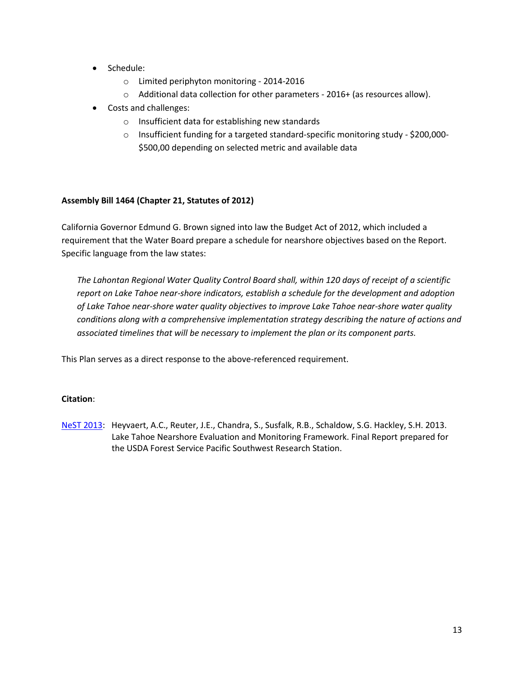- Schedule:
	- o Limited periphyton monitoring 2014-2016
	- o Additional data collection for other parameters 2016+ (as resources allow).
- Costs and challenges:
	- o Insufficient data for establishing new standards
	- o Insufficient funding for a targeted standard-specific monitoring study \$200,000- \$500,00 depending on selected metric and available data

## **Assembly Bill 1464 (Chapter 21, Statutes of 2012)**

California Governor Edmund G. Brown signed into law the Budget Act of 2012, which included a requirement that the Water Board prepare a schedule for nearshore objectives based on the Report. Specific language from the law states:

*The Lahontan Regional Water Quality Control Board shall, within 120 days of receipt of a scientific report on Lake Tahoe near-shore indicators, establish a schedule for the development and adoption of Lake Tahoe near-shore water quality objectives to improve Lake Tahoe near-shore water quality conditions along with a comprehensive implementation strategy describing the nature of actions and associated timelines that will be necessary to implement the plan or its component parts.*

This Plan serves as a direct response to the above-referenced requirement.

## **Citation**:

[NeST 2013:](http://www.dri.edu/images/stories/centers/cwes/Lake_Tahoe_Nearshore_Evaluation_and_Monitoring_Framework.pdf) Heyvaert, A.C., Reuter, J.E., Chandra, S., Susfalk, R.B., Schaldow, S.G. Hackley, S.H. 2013. Lake Tahoe Nearshore Evaluation and Monitoring Framework. Final Report prepared for the USDA Forest Service Pacific Southwest Research Station.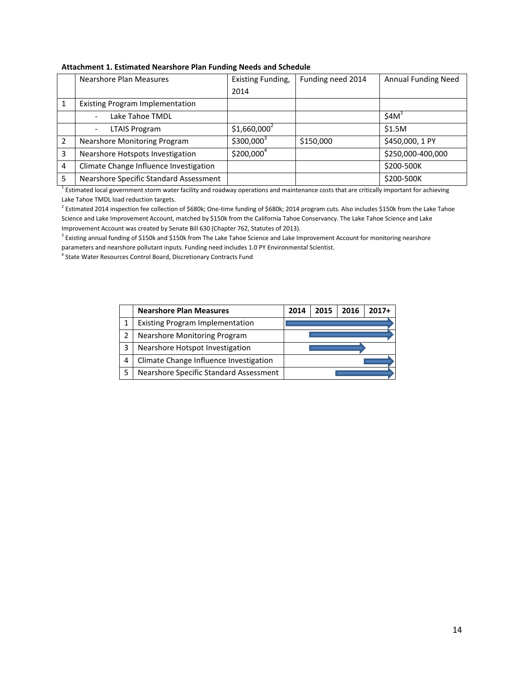|   | Nearshore Plan Measures                | Existing Funding,      | Funding need 2014 | <b>Annual Funding Need</b> |  |  |  |  |  |
|---|----------------------------------------|------------------------|-------------------|----------------------------|--|--|--|--|--|
|   |                                        | 2014                   |                   |                            |  |  |  |  |  |
|   | <b>Existing Program Implementation</b> |                        |                   |                            |  |  |  |  |  |
|   | Lake Tahoe TMDL                        |                        |                   | \$4M <sup>1</sup>          |  |  |  |  |  |
|   | <b>LTAIS Program</b>                   | $$1,660,000^2$         |                   | \$1.5M                     |  |  |  |  |  |
|   | <b>Nearshore Monitoring Program</b>    | $$300,000^3$           | \$150,000         | \$450,000, 1 PY            |  |  |  |  |  |
| 3 | Nearshore Hotspots Investigation       | \$200,000 <sup>4</sup> |                   | \$250,000-400,000          |  |  |  |  |  |
| 4 | Climate Change Influence Investigation |                        |                   | \$200-500K                 |  |  |  |  |  |
| 5 | Nearshore Specific Standard Assessment |                        |                   | \$200-500K                 |  |  |  |  |  |

#### **Attachment 1. Estimated Nearshore Plan Funding Needs and Schedule**

<sup>1</sup> Estimated local government storm water facility and roadway operations and maintenance costs that are critically important for achieving Lake Tahoe TMDL load reduction targets.

<sup>2</sup> Estimated 2014 inspection fee collection of \$680k; One-time funding of \$680k; 2014 program cuts. Also includes \$150k from the Lake Tahoe Science and Lake Improvement Account, matched by \$150k from the California Tahoe Conservancy. The Lake Tahoe Science and Lake Improvement Account was created by Senate Bill 630 (Chapter 762, Statutes of 2013).

<sup>3</sup> Existing annual funding of \$150k and \$150k from The Lake Tahoe Science and Lake Improvement Account for monitoring nearshore parameters and nearshore pollutant inputs. Funding need includes 1.0 PY Environmental Scientist.

4 State Water Resources Control Board, Discretionary Contracts Fund

|   | <b>Nearshore Plan Measures</b>         | 2014 | 2015 | 2016 | $2017+$ |
|---|----------------------------------------|------|------|------|---------|
|   | <b>Existing Program Implementation</b> |      |      |      |         |
| 2 | Nearshore Monitoring Program           |      |      |      |         |
| 3 | Nearshore Hotspot Investigation        |      |      |      |         |
| 4 | Climate Change Influence Investigation |      |      |      |         |
|   | Nearshore Specific Standard Assessment |      |      |      |         |